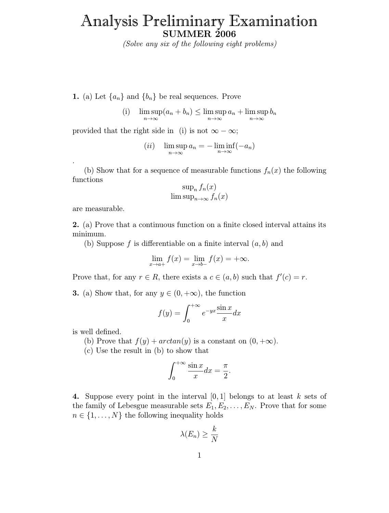## Analysis Preliminary Examination SUMMER 2006

(Solve any six of the following eight problems)

- 1. (a) Let  $\{a_n\}$  and  $\{b_n\}$  be real sequences. Prove
	- (i) lim sup  $\limsup_{n\to\infty} (a_n + b_n) \leq \limsup_{n\to\infty} a_n + \limsup_{n\to\infty} b_n$

provided that the right side in (i) is not  $\infty - \infty$ ;

$$
(ii) \quad \limsup_{n \to \infty} a_n = -\liminf_{n \to \infty} (-a_n)
$$

(b) Show that for a sequence of measurable functions  $f_n(x)$  the following functions

$$
\sup_n f_n(x)
$$
  
lim sup<sub>n\to\infty</sub>  $f_n(x)$ 

are measurable.

.

2. (a) Prove that a continuous function on a finite closed interval attains its minimum.

(b) Suppose f is differentiable on a finite interval  $(a, b)$  and

$$
\lim_{x \to a+} f(x) = \lim_{x \to b-} f(x) = +\infty.
$$

Prove that, for any  $r \in R$ , there exists a  $c \in (a, b)$  such that  $f'(c) = r$ .

**3.** (a) Show that, for any  $y \in (0, +\infty)$ , the function

$$
f(y) = \int_0^{+\infty} e^{-yx} \frac{\sin x}{x} dx
$$

is well defined.

(b) Prove that  $f(y) + arctan(y)$  is a constant on  $(0, +\infty)$ .

(c) Use the result in (b) to show that

$$
\int_0^{+\infty} \frac{\sin x}{x} dx = \frac{\pi}{2}.
$$

4. Suppose every point in the interval  $[0, 1]$  belongs to at least k sets of the family of Lebesgue measurable sets  $E_1, E_2, \ldots, E_N$ . Prove that for some  $n \in \{1, \ldots, N\}$  the following inequality holds

$$
\lambda(E_n) \geq \frac{k}{N}
$$